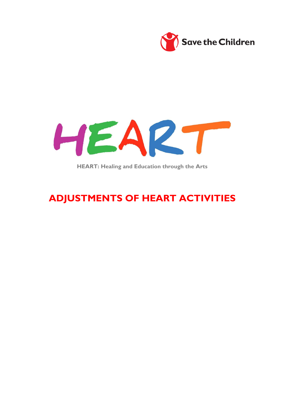



**HEART: Healing and Education through the Arts**

# **ADJUSTMENTS OF HEART ACTIVITIES**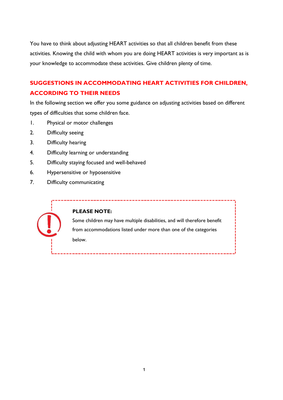You have to think about adjusting HEART activities so that all children benefit from these activities. Knowing the child with whom you are doing HEART activities is very important as is your knowledge to accommodate these activities. Give children plenty of time.

### **SUGGESTIONS IN ACCOMMODATING HEART ACTIVITIES FOR CHILDREN, ACCORDING TO THEIR NEEDS**

In the following section we offer you some guidance on adjusting activities based on different types of difficulties that some children face.

- 1. Physical or motor challenges
- 2. Difficulty seeing
- 3. Difficulty hearing
- 4. Difficulty learning or understanding
- 5. Difficulty staying focused and well-behaved
- 6. Hypersensitive or hyposensitive
- 7. Difficulty communicating

#### **PLEASE NOTE:**

Some children may have multiple disabilities, and will therefore benefit from accommodations listed under more than one of the categories below.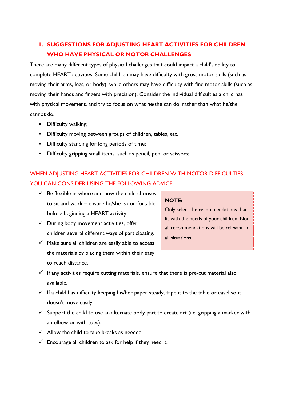# **1. SUGGESTIONS FOR ADJUSTING HEART ACTIVITIES FOR CHILDREN WHO HAVE PHYSICAL OR MOTOR CHALLENGES**

There are many different types of physical challenges that could impact a child's ability to complete HEART activities. Some children may have difficulty with gross motor skills (such as moving their arms, legs, or body), while others may have difficulty with fine motor skills (such as moving their hands and fingers with precision). Consider the individual difficulties a child has with physical movement, and try to focus on what he/she can do, rather than what he/she cannot do.

- **•** Difficulty walking;
- **Difficulty moving between groups of children, tables, etc.**
- **•** Difficulty standing for long periods of time;
- **•** Difficulty gripping small items, such as pencil, pen, or scissors;

### WHEN ADJUSTING HEART ACTIVITIES FOR CHILDREN WITH MOTOR DIFFICULTIES YOU CAN CONSIDER USING THE FOLLOWING ADVICE:

- $\checkmark$  Be flexible in where and how the child chooses to sit and work – ensure he/she is comfortable before beginning a HEART activity.
- $\checkmark$  During body movement activities, offer children several different ways of participating.
- $\checkmark$  Make sure all children are easily able to access the materials by placing them within their easy to reach distance.

#### **NOTE:**

- $\checkmark$  If any activities require cutting materials, ensure that there is pre-cut material also available.
- $\checkmark$  If a child has difficulty keeping his/her paper steady, tape it to the table or easel so it doesn't move easily.
- $\checkmark$  Support the child to use an alternate body part to create art (i.e. gripping a marker with an elbow or with toes).
- $\checkmark$  Allow the child to take breaks as needed.
- $\checkmark$  Encourage all children to ask for help if they need it.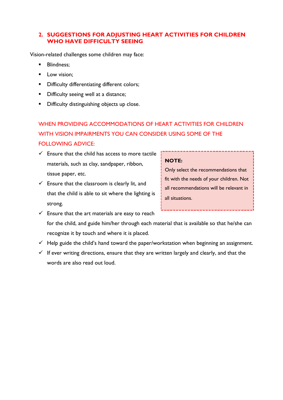#### **2. SUGGESTIONS FOR ADJUSTING HEART ACTIVITIES FOR CHILDREN WHO HAVE DIFFICULTY SEEING**

Vision-related challenges some children may face:

- Blindness;
- **Low vision:**
- **•** Difficulty differentiating different colors;
- **•** Difficulty seeing well at a distance;
- **•** Difficulty distinguishing objects up close.

# WHEN PROVIDING ACCOMMODATIONS OF HEART ACTIVITIES FOR CHILDREN WITH VISION IMPAIRMENTS YOU CAN CONSIDER USING SOME OF THE FOLLOWING ADVICE:

- $\checkmark$  Ensure that the child has access to more tactile materials, such as clay, sandpaper, ribbon, tissue paper, etc.
- $\checkmark$  Ensure that the classroom is clearly lit, and that the child is able to sit where the lighting is strong.

#### **NOTE:**

- $\checkmark$  Ensure that the art materials are easy to reach for the child, and guide him/her through each material that is available so that he/she can recognize it by touch and where it is placed.
- $\checkmark$  Help guide the child's hand toward the paper/workstation when beginning an assignment.
- $\checkmark$  If ever writing directions, ensure that they are written largely and clearly, and that the words are also read out loud.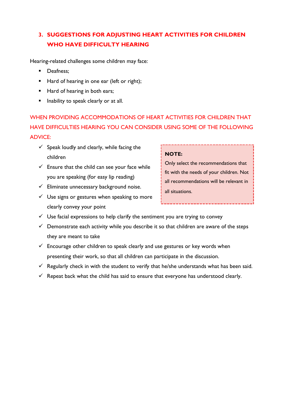# **3. SUGGESTIONS FOR ADJUSTING HEART ACTIVITIES FOR CHILDREN WHO HAVE DIFFICULTY HEARING**

Hearing-related challenges some children may face:

- **Deafness:**
- Hard of hearing in one ear (left or right);
- Hard of hearing in both ears;
- **Inability to speak clearly or at all.**

WHEN PROVIDING ACCOMMODATIONS OF HEART ACTIVITIES FOR CHILDREN THAT HAVE DIFFICULTIES HEARING YOU CAN CONSIDER USING SOME OF THE FOLLOWING ADVICE:

- $\checkmark$  Speak loudly and clearly, while facing the children
- $\checkmark$  Ensure that the child can see your face while you are speaking (for easy lip reading)
- $\checkmark$  Eliminate unnecessary background noise.
- $\checkmark$  Use signs or gestures when speaking to more clearly convey your point

#### **NOTE:**

- $\checkmark$  Use facial expressions to help clarify the sentiment you are trying to convey
- $\checkmark$  Demonstrate each activity while you describe it so that children are aware of the steps they are meant to take
- $\checkmark$  Encourage other children to speak clearly and use gestures or key words when presenting their work, so that all children can participate in the discussion.
- $\checkmark$  Regularly check in with the student to verify that he/she understands what has been said.
- $\checkmark$  Repeat back what the child has said to ensure that everyone has understood clearly.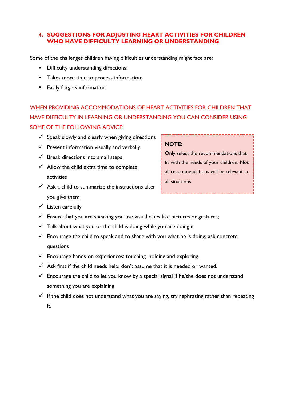#### **4. SUGGESTIONS FOR ADJUSTING HEART ACTIVITIES FOR CHILDREN WHO HAVE DIFFICULTY LEARNING OR UNDERSTANDING**

Some of the challenges children having difficulties understanding might face are:

- **•** Difficulty understanding directions;
- **Takes more time to process information;**
- **Easily forgets information.**

WHEN PROVIDING ACCOMMODATIONS OF HEART ACTIVITIES FOR CHILDREN THAT HAVE DIFFICULTY IN LEARNING OR UNDERSTANDING YOU CAN CONSIDER USING SOME OF THE FOLLOWING ADVICE:

- $\checkmark$  Speak slowly and clearly when giving directions
- $\checkmark$  Present information visually and verbally
- $\checkmark$  Break directions into small steps
- $\checkmark$  Allow the child extra time to complete activities
- $\checkmark$  Ask a child to summarize the instructions after you give them
- $\checkmark$  Listen carefully
- $\checkmark$  Ensure that you are speaking you use visual clues like pictures or gestures;
- $\checkmark$  Talk about what you or the child is doing while you are doing it
- $\checkmark$  Encourage the child to speak and to share with you what he is doing; ask concrete questions
- $\checkmark$  Encourage hands-on experiences: touching, holding and exploring.
- $\checkmark$  Ask first if the child needs help; don't assume that it is needed or wanted.
- $\checkmark$  Encourage the child to let you know by a special signal if he/she does not understand something you are explaining
- $\checkmark$  If the child does not understand what you are saying, try rephrasing rather than repeating it.

#### **NOTE:**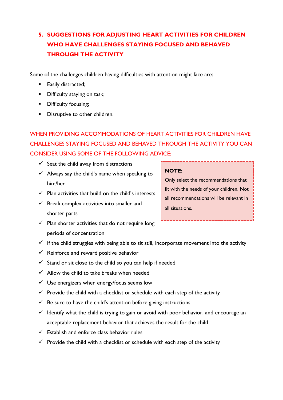# **5. SUGGESTIONS FOR ADJUSTING HEART ACTIVITIES FOR CHILDREN WHO HAVE CHALLENGES STAYING FOCUSED AND BEHAVED THROUGH THE ACTIVITY**

Some of the challenges children having difficulties with attention might face are:

- **Easily distracted;**
- **Difficulty staying on task;**
- **•** Difficulty focusing;
- **•** Disruptive to other children.

WHEN PROVIDING ACCOMMODATIONS OF HEART ACTIVITIES FOR CHILDREN HAVE CHALLENGES STAYING FOCUSED AND BEHAVED THROUGH THE ACTIVITY YOU CAN CONSIDER USING SOME OF THE FOLLOWING ADVICE:

- $\checkmark$  Seat the child away from distractions
- $\checkmark$  Always say the child's name when speaking to him/her
- $\checkmark$  Plan activities that build on the child's interests
- $\checkmark$  Break complex activities into smaller and shorter parts

#### **NOTE:**

- $\checkmark$  Plan shorter activities that do not require long periods of concentration
- $\checkmark$  If the child struggles with being able to sit still, incorporate movement into the activity
- $\checkmark$  Reinforce and reward positive behavior
- $\checkmark$  Stand or sit close to the child so you can help if needed
- $\checkmark$  Allow the child to take breaks when needed
- $\checkmark$  Use energizers when energy/focus seems low
- $\checkmark$  Provide the child with a checklist or schedule with each step of the activity
- $\checkmark$  Be sure to have the child's attention before giving instructions
- $\checkmark$  Identify what the child is trying to gain or avoid with poor behavior, and encourage an acceptable replacement behavior that achieves the result for the child
- $\checkmark$  Establish and enforce class behavior rules
- $\checkmark$  Provide the child with a checklist or schedule with each step of the activity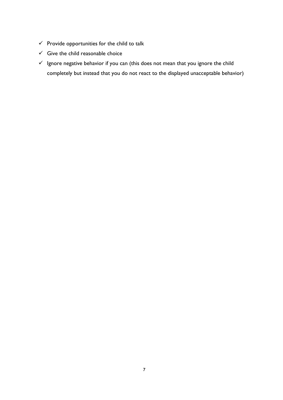- $\checkmark$  Provide opportunities for the child to talk
- $\checkmark$  Give the child reasonable choice
- $\checkmark$  Ignore negative behavior if you can (this does not mean that you ignore the child completely but instead that you do not react to the displayed unacceptable behavior)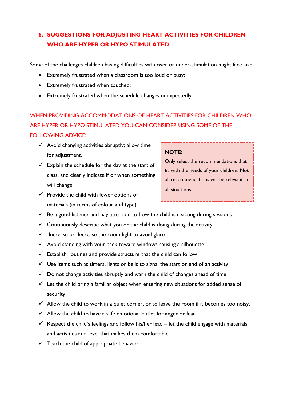# **6. SUGGESTIONS FOR ADJUSTING HEART ACTIVITIES FOR CHILDREN WHO ARE HYPER OR HYPO STIMULATED**

Some of the challenges children having difficulties with over or under-stimulation might face are:

- Extremely frustrated when a classroom is too loud or busy;
- Extremely frustrated when touched;
- Extremely frustrated when the schedule changes unexpectedly.

# WHEN PROVIDING ACCOMMODATIONS OF HEART ACTIVITIES FOR CHILDREN WHO ARE HYPER OR HYPO STIMULATED YOU CAN CONSIDER USING SOME OF THE FOLLOWING ADVICE:

- $\checkmark$  Avoid changing activities abruptly; allow time for adjustment.
- $\checkmark$  Explain the schedule for the day at the start of class, and clearly indicate if or when something will change.
- $\checkmark$  Provide the child with fewer options of materials (in terms of colour and type)

#### **NOTE:**

- $\checkmark$  Be a good listener and pay attention to how the child is reacting during sessions
- $\checkmark$  Continuously describe what you or the child is doing during the activity
- $\checkmark$  Increase or decrease the room light to avoid glare
- $\checkmark$  Avoid standing with your back toward windows causing a silhouette
- $\checkmark$  Establish routines and provide structure that the child can follow
- $\checkmark$  Use items such as timers, lights or bells to signal the start or end of an activity
- $\checkmark$  Do not change activities abruptly and warn the child of changes ahead of time
- $\checkmark$  Let the child bring a familiar object when entering new situations for added sense of security
- $\checkmark$  Allow the child to work in a quiet corner, or to leave the room if it becomes too noisy.
- $\checkmark$  Allow the child to have a safe emotional outlet for anger or fear.
- $\checkmark$  Respect the child's feelings and follow his/her lead let the child engage with materials and activities at a level that makes them comfortable.
- $\checkmark$  Teach the child of appropriate behavior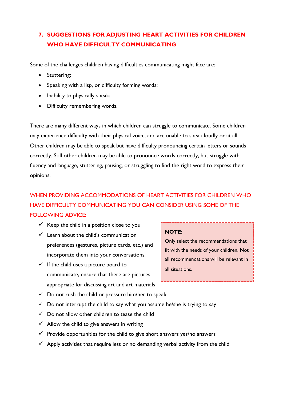# **7. SUGGESTIONS FOR ADJUSTING HEART ACTIVITIES FOR CHILDREN WHO HAVE DIFFICULTY COMMUNICATING**

Some of the challenges children having difficulties communicating might face are:

- Stuttering;
- Speaking with a lisp, or difficulty forming words;
- Inability to physically speak;
- Difficulty remembering words.

There are many different ways in which children can struggle to communicate. Some children may experience difficulty with their physical voice, and are unable to speak loudly or at all. Other children may be able to speak but have difficulty pronouncing certain letters or sounds correctly. Still other children may be able to pronounce words correctly, but struggle with fluency and language, stuttering, pausing, or struggling to find the right word to express their opinions.

# WHEN PROVIDING ACCOMMODATIONS OF HEART ACTIVITIES FOR CHILDREN WHO HAVE DIFFICULTY COMMUNICATING YOU CAN CONSIDER USING SOME OF THE FOLLOWING ADVICE:

- $\checkmark$  Keep the child in a position close to you
- $\checkmark$  Learn about the child's communication preferences (gestures, picture cards, etc.) and incorporate them into your conversations.
- $\checkmark$  If the child uses a picture board to communicate, ensure that there are pictures appropriate for discussing art and art materials
- $\checkmark$  Do not rush the child or pressure him/her to speak
- $\checkmark$  Do not interrupt the child to say what you assume he/she is trying to say
- $\checkmark$  Do not allow other children to tease the child
- $\checkmark$  Allow the child to give answers in writing
- $\checkmark$  Provide opportunities for the child to give short answers yes/no answers
- $\checkmark$  Apply activities that require less or no demanding verbal activity from the child

#### **NOTE:**